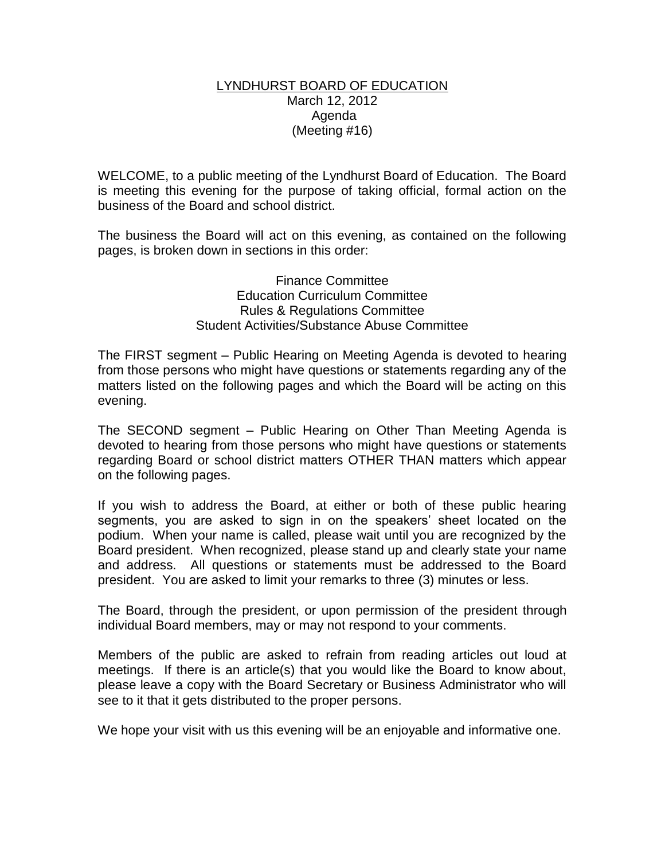## LYNDHURST BOARD OF EDUCATION March 12, 2012 Agenda (Meeting #16)

WELCOME, to a public meeting of the Lyndhurst Board of Education. The Board is meeting this evening for the purpose of taking official, formal action on the business of the Board and school district.

The business the Board will act on this evening, as contained on the following pages, is broken down in sections in this order:

> Finance Committee Education Curriculum Committee Rules & Regulations Committee Student Activities/Substance Abuse Committee

The FIRST segment – Public Hearing on Meeting Agenda is devoted to hearing from those persons who might have questions or statements regarding any of the matters listed on the following pages and which the Board will be acting on this evening.

The SECOND segment – Public Hearing on Other Than Meeting Agenda is devoted to hearing from those persons who might have questions or statements regarding Board or school district matters OTHER THAN matters which appear on the following pages.

If you wish to address the Board, at either or both of these public hearing segments, you are asked to sign in on the speakers' sheet located on the podium. When your name is called, please wait until you are recognized by the Board president. When recognized, please stand up and clearly state your name and address. All questions or statements must be addressed to the Board president. You are asked to limit your remarks to three (3) minutes or less.

The Board, through the president, or upon permission of the president through individual Board members, may or may not respond to your comments.

Members of the public are asked to refrain from reading articles out loud at meetings. If there is an article(s) that you would like the Board to know about, please leave a copy with the Board Secretary or Business Administrator who will see to it that it gets distributed to the proper persons.

We hope your visit with us this evening will be an enjoyable and informative one.